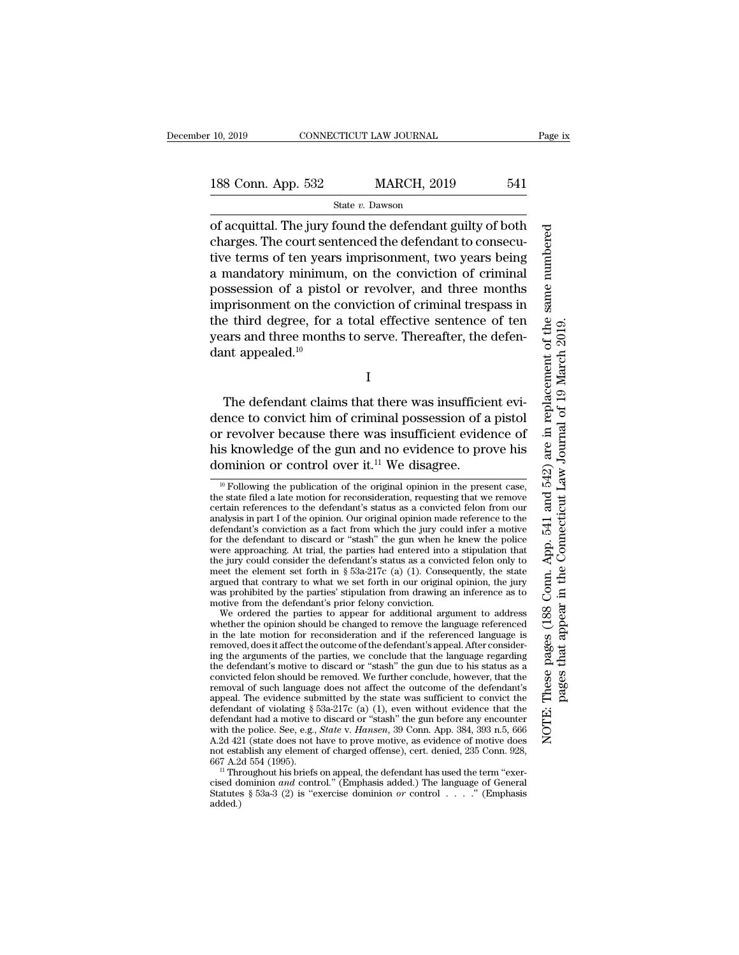State *v.* Dawson

of acquittal. The jury found the defendant guilty of both charges. The court sentenced the defendant to consecutive terms of ten years imprisonment, two years being a mandatory minimum, on the conviction of criminal possession of a pistol or revolver, and three months imprisonment on the conviction of criminal trespass in the third degree, for a total effective sentence of ten years and three months to serve. Thereafter, the defendant appealed.<sup>10</sup>

I

The defendant claims that there was insufficient evidence to convict him of criminal possession of a pistol or revolver because there was insufficient evidence of his knowledge of the gun and no evidence to prove his dominion or control over it.<sup>11</sup> We disagree.

These pages (188 Conn. App. 541 and 542) are in replacement of the same numbered NOTE: These pages (188 Conn. App. 541 and 542) are in replacement of the same numbered pages that appear in the Connecticut Law Journal of 19 March 2019. pages that appear in the Connecticut Law Journal of 19 March 2019.NOTE:

 $10$  Following the publication of the original opinion in the present case, the state filed a late motion for reconsideration, requesting that we remove certain references to the defendant's status as a convicted felon from our analysis in part I of the opinion. Our original opinion made reference to the defendant's conviction as a fact from which the jury could infer a motive for the defendant to discard or ''stash'' the gun when he knew the police were approaching. At trial, the parties had entered into a stipulation that the jury could consider the defendant's status as a convicted felon only to meet the element set forth in  $\S$  53a-217c (a) (1). Consequently, the state argued that contrary to what we set forth in our original opinion, the jury was prohibited by the parties' stipulation from drawing an inference as to motive from the defendant's prior felony conviction.

We ordered the parties to appear for additional argument to address whether the opinion should be changed to remove the language referenced in the late motion for reconsideration and if the referenced language is removed, does it affect the outcome of the defendant's appeal. After considering the arguments of the parties, we conclude that the language regarding the defendant's motive to discard or ''stash'' the gun due to his status as a convicted felon should be removed. We further conclude, however, that the removal of such language does not affect the outcome of the defendant's appeal. The evidence submitted by the state was sufficient to convict the defendant of violating § 53a-217c (a) (1), even without evidence that the defendant had a motive to discard or ''stash'' the gun before any encounter with the police. See, e.g., *State* v. *Hansen*, 39 Conn. App. 384, 393 n.5, 666 A.2d 421 (state does not have to prove motive, as evidence of motive does not establish any element of charged offense), cert. denied, 235 Conn. 928, 667 A.2d 554 (1995).

<sup>&</sup>lt;sup>11</sup> Throughout his briefs on appeal, the defendant has used the term "exercised dominion *and* control.'' (Emphasis added.) The language of General Statutes § 53a-3 (2) is ''exercise dominion *or* control . . . .'' (Emphasis added.)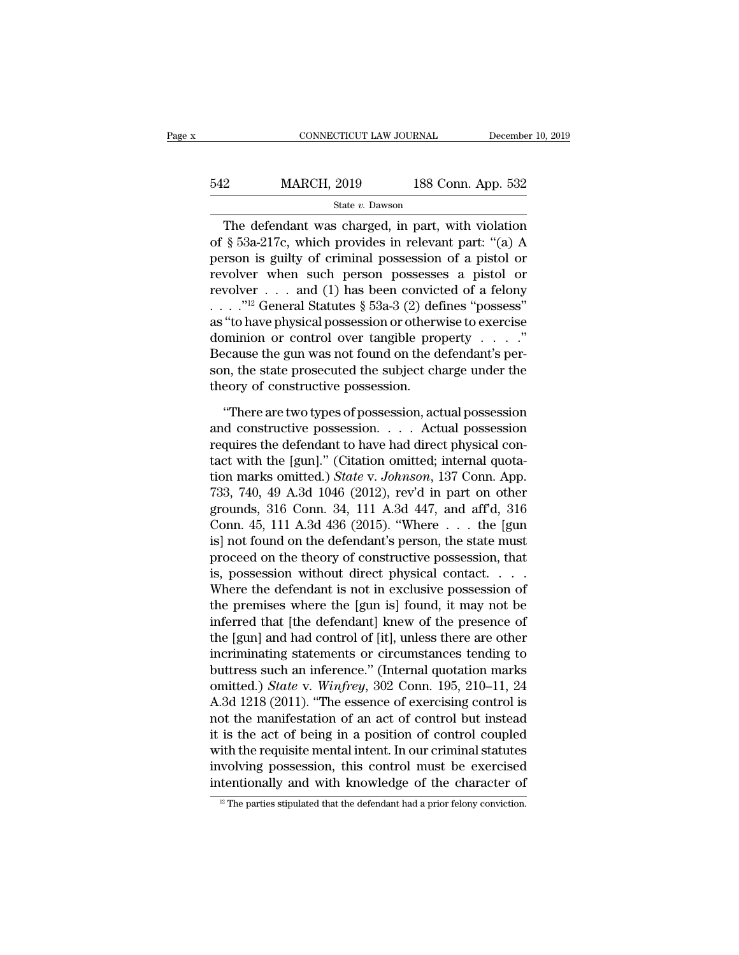| 542 | <b>MARCH, 2019</b> | 188 Conn. App. 532 |
|-----|--------------------|--------------------|
|     | State v. Dawson    |                    |

The defendant was charged, in part, with violation of § 53a-217c, which provides in relevant part: ''(a) A person is guilty of criminal possession of a pistol or revolver when such person possesses a pistol or revolver . . . and (1) has been convicted of a felony . . . .''12 General Statutes § 53a-3 (2) defines ''possess'' as ''to have physical possession or otherwise to exercise dominion or control over tangible property . . . .'' Because the gun was not found on the defendant's person, the state prosecuted the subject charge under the theory of constructive possession.

''There are two types of possession, actual possession and constructive possession.... Actual possession requires the defendant to have had direct physical contact with the [gun].'' (Citation omitted; internal quotation marks omitted.) *State* v. *Johnson*, 137 Conn. App. 733, 740, 49 A.3d 1046 (2012), rev'd in part on other grounds, 316 Conn. 34, 111 A.3d 447, and aff'd, 316 Conn. 45, 111 A.3d 436 (2015). ''Where . . . the [gun is] not found on the defendant's person, the state must proceed on the theory of constructive possession, that is, possession without direct physical contact. . . . Where the defendant is not in exclusive possession of the premises where the [gun is] found, it may not be inferred that [the defendant] knew of the presence of the [gun] and had control of [it], unless there are other incriminating statements or circumstances tending to buttress such an inference.'' (Internal quotation marks omitted.) *State* v. *Winfrey*, 302 Conn. 195, 210–11, 24 A.3d 1218 (2011). ''The essence of exercising control is not the manifestation of an act of control but instead it is the act of being in a position of control coupled with the requisite mental intent. In our criminal statutes involving possession, this control must be exercised intentionally and with knowledge of the character of

<sup>&</sup>lt;sup>12</sup> The parties stipulated that the defendant had a prior felony conviction.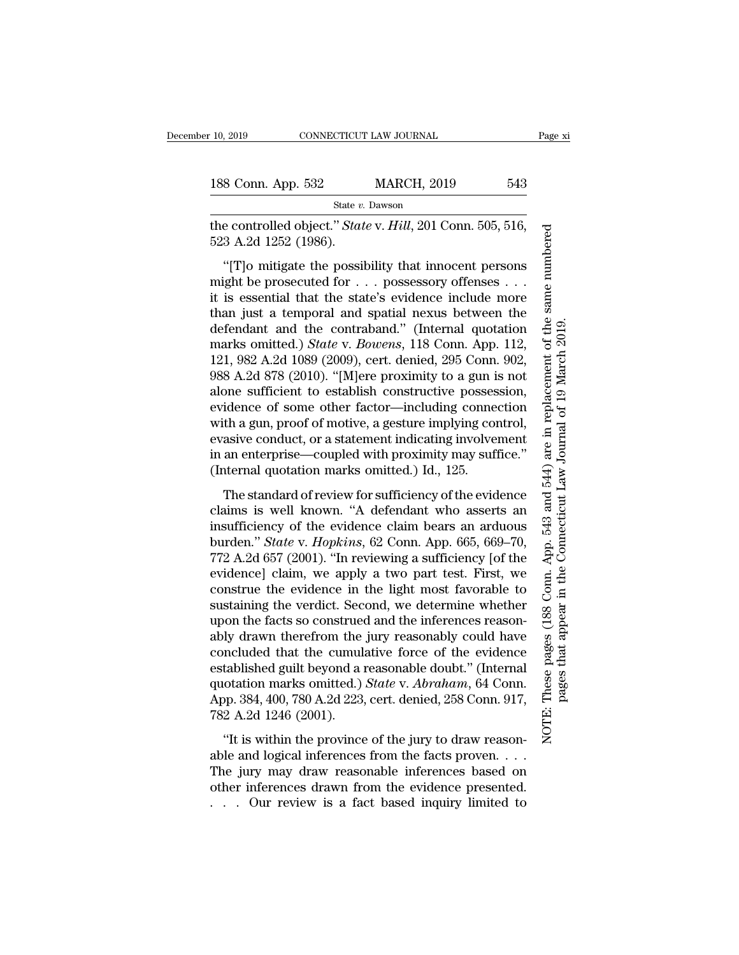the controlled object.'' *State* v. *Hill*, 201 Conn. 505, 516, 523 A.2d 1252 (1986).

''[T]o mitigate the possibility that innocent persons might be prosecuted for . . . possessory offenses . . . it is essential that the state's evidence include more than just a temporal and spatial nexus between the defendant and the contraband.'' (Internal quotation marks omitted.) *State* v. *Bowens*, 118 Conn. App. 112, 121, 982 A.2d 1089 (2009), cert. denied, 295 Conn. 902, 988 A.2d 878 (2010). ''[M]ere proximity to a gun is not alone sufficient to establish constructive possession, evidence of some other factor—including connection with a gun, proof of motive, a gesture implying control, evasive conduct, or a statement indicating involvement in an enterprise—coupled with proximity may suffice.'' (Internal quotation marks omitted.) Id., 125.

The standard of review for sufficiency of the evidence claims is well known. ''A defendant who asserts an insufficiency of the evidence claim bears an arduous burden.'' *State* v. *Hopkins*, 62 Conn. App. 665, 669–70, 772 A.2d 657 (2001). ''In reviewing a sufficiency [of the evidence] claim, we apply a two part test. First, we construe the evidence in the light most favorable to sustaining the verdict. Second, we determine whether upon the facts so construed and the inferences reasonably drawn therefrom the jury reasonably could have concluded that the cumulative force of the evidence established guilt beyond a reasonable doubt.'' (Internal quotation marks omitted.) *State* v. *Abraham*, 64 Conn. App. 384, 400, 780 A.2d 223, cert. denied, 258 Conn. 917, 782 A.2d 1246 (2001).

''It is within the province of the jury to draw reasonable and logical inferences from the facts proven.... The jury may draw reasonable inferences based on other inferences drawn from the evidence presented. . . . Our review is a fact based inquiry limited to These pages (188 Conn. App. 543 and 544) are in replacement of the same numbered NOTE: These pages (188 Conn. App. 543 and 544) are in replacement of the same numbered pages that appear in the Connecticut Law Journal of 19 March 2019. pages that appear in the Connecticut Law Journal of 19 March 2019.NOTE: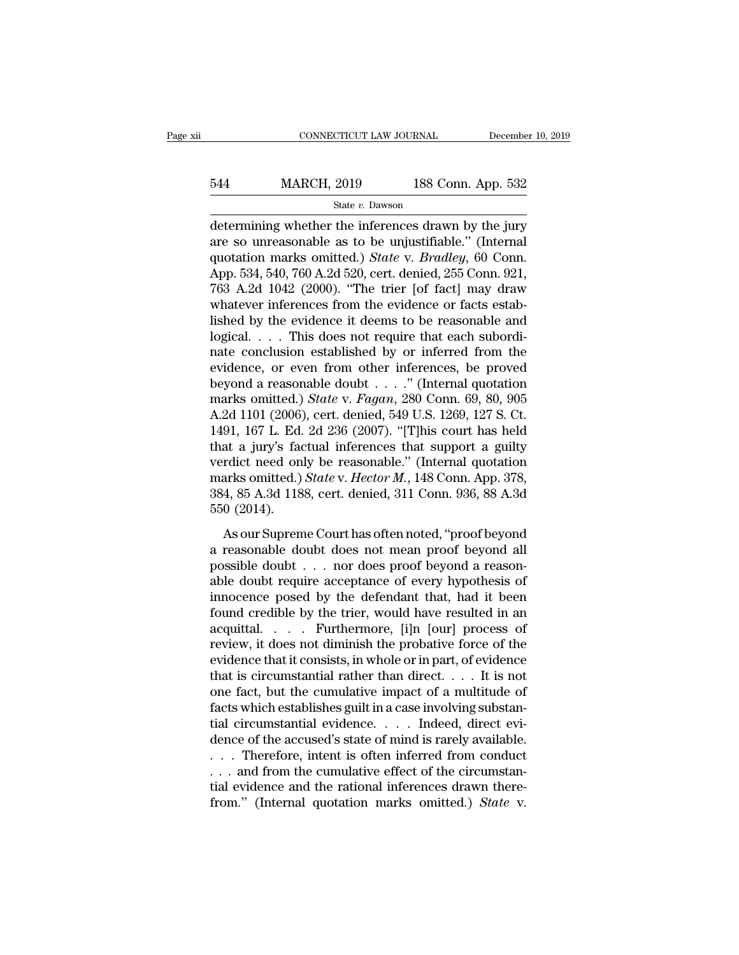# 544 MARCH, 2019 188 Conn. App. 532

### State *v.* Dawson

determining whether the inferences drawn by the jury are so unreasonable as to be unjustifiable.'' (Internal quotation marks omitted.) *State* v. *Bradley*, 60 Conn. App. 534, 540, 760 A.2d 520, cert. denied, 255 Conn. 921, 763 A.2d 1042 (2000). ''The trier [of fact] may draw whatever inferences from the evidence or facts established by the evidence it deems to be reasonable and logical. . . . This does not require that each subordinate conclusion established by or inferred from the evidence, or even from other inferences, be proved beyond a reasonable doubt . . . .'' (Internal quotation marks omitted.) *State* v. *Fagan*, 280 Conn. 69, 80, 905 A.2d 1101 (2006), cert. denied, 549 U.S. 1269, 127 S. Ct. 1491, 167 L. Ed. 2d 236 (2007). ''[T]his court has held that a jury's factual inferences that support a guilty verdict need only be reasonable.'' (Internal quotation marks omitted.) *State* v. *Hector M.*, 148 Conn. App. 378, 384, 85 A.3d 1188, cert. denied, 311 Conn. 936, 88 A.3d 550 (2014).

As our Supreme Court has often noted, ''proof beyond a reasonable doubt does not mean proof beyond all possible doubt . . . nor does proof beyond a reasonable doubt require acceptance of every hypothesis of innocence posed by the defendant that, had it been found credible by the trier, would have resulted in an acquittal.... Furthermore, [i]n [our] process of review, it does not diminish the probative force of the evidence that it consists, in whole or in part, of evidence that is circumstantial rather than direct. . . . It is not one fact, but the cumulative impact of a multitude of facts which establishes guilt in a case involving substantial circumstantial evidence.... Indeed, direct evidence of the accused's state of mind is rarely available. . . . Therefore, intent is often inferred from conduct . . . and from the cumulative effect of the circumstantial evidence and the rational inferences drawn therefrom.'' (Internal quotation marks omitted.) *State* v.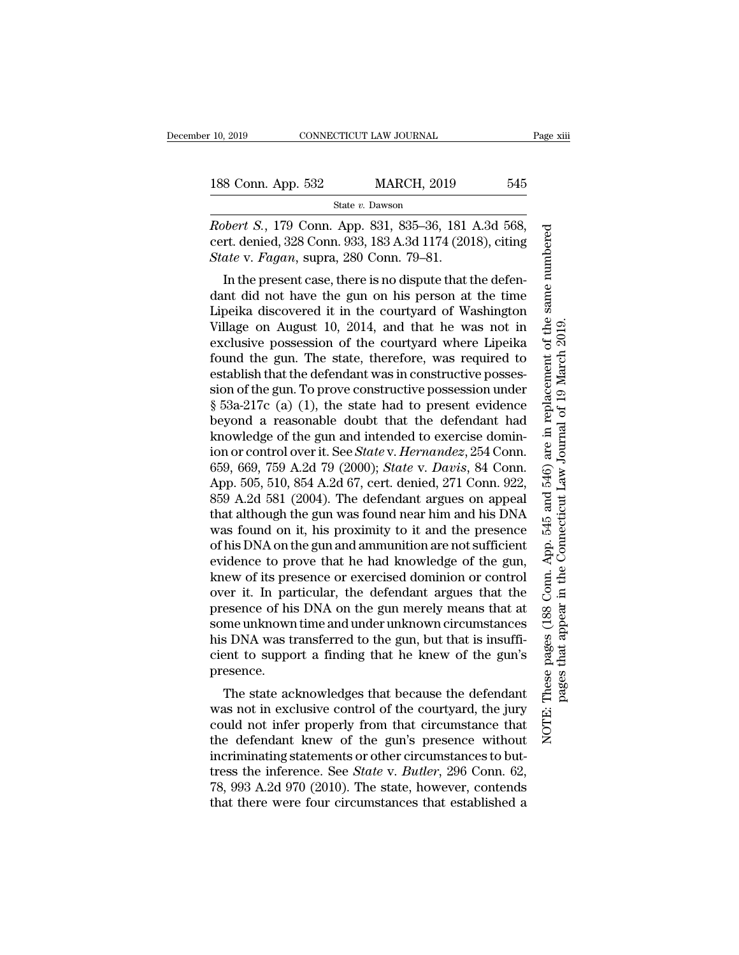State *v.* Dawson

*Robert S.*, 179 Conn. App. 831, 835–36, 181 A.3d 568, cert. denied, 328 Conn. 933, 183 A.3d 1174 (2018), citing *State* v. *Fagan*, supra, 280 Conn. 79–81.

In the present case, there is no dispute that the defendant did not have the gun on his person at the time Lipeika discovered it in the courtyard of Washington Village on August 10, 2014, and that he was not in exclusive possession of the courtyard where Lipeika found the gun. The state, therefore, was required to establish that the defendant was in constructive possession of the gun. To prove constructive possession under § 53a-217c (a) (1), the state had to present evidence beyond a reasonable doubt that the defendant had knowledge of the gun and intended to exercise dominion or control over it. See *State* v. *Hernandez*, 254 Conn. 659, 669, 759 A.2d 79 (2000); *State* v. *Davis*, 84 Conn. App. 505, 510, 854 A.2d 67, cert. denied, 271 Conn. 922, 859 A.2d 581 (2004). The defendant argues on appeal that although the gun was found near him and his DNA was found on it, his proximity to it and the presence of his DNA on the gun and ammunition are not sufficient evidence to prove that he had knowledge of the gun, knew of its presence or exercised dominion or control over it. In particular, the defendant argues that the presence of his DNA on the gun merely means that at some unknown time and under unknown circumstances his DNA was transferred to the gun, but that is insufficient to support a finding that he knew of the gun's presence.

The state acknowledges that because the defendant was not in exclusive control of the courtyard, the jury could not infer properly from that circumstance that the defendant knew of the gun's presence without incriminating statements or other circumstances to buttress the inference. See *State* v. *Butler*, 296 Conn. 62, 78, 993 A.2d 970 (2010). The state, however, contends that there were four circumstances that established a

These pages (188 Conn. App. 545 and 546) are in replacement of the same numbered NOTE: These pages (188 Conn. App. 545 and 546) are in replacement of the same numbered pages that appear in the Connecticut Law Journal of 19 March 2019. pages that appear in the Connecticut Law Journal of 19 March 2019.NOTE: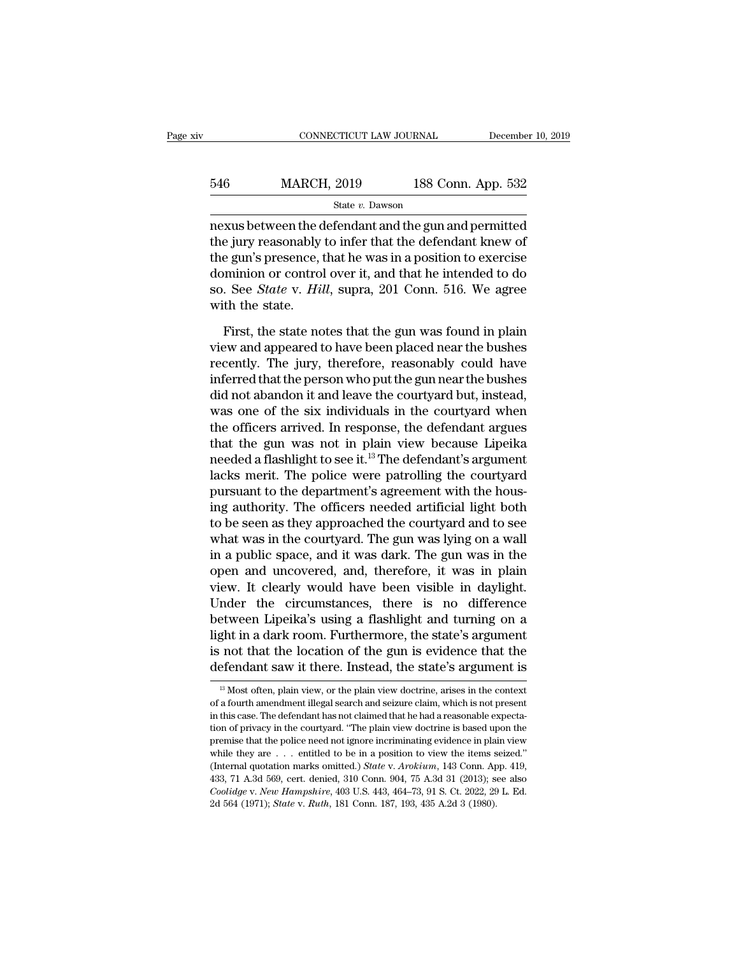| 546 | <b>MARCH, 2019</b> | 188 Conn. App. 532 |
|-----|--------------------|--------------------|
|     | State v. Dawson    |                    |

nexus between the defendant and the gun and permitted the jury reasonably to infer that the defendant knew of the gun's presence, that he was in a position to exercise dominion or control over it, and that he intended to do so. See *State* v. *Hill*, supra, 201 Conn. 516. We agree with the state.

First, the state notes that the gun was found in plain view and appeared to have been placed near the bushes recently. The jury, therefore, reasonably could have inferred that the person who put the gun near the bushes did not abandon it and leave the courtyard but, instead, was one of the six individuals in the courtyard when the officers arrived. In response, the defendant argues that the gun was not in plain view because Lipeika needed a flashlight to see it.13 The defendant's argument lacks merit. The police were patrolling the courtyard pursuant to the department's agreement with the housing authority. The officers needed artificial light both to be seen as they approached the courtyard and to see what was in the courtyard. The gun was lying on a wall in a public space, and it was dark. The gun was in the open and uncovered, and, therefore, it was in plain view. It clearly would have been visible in daylight. Under the circumstances, there is no difference between Lipeika's using a flashlight and turning on a light in a dark room. Furthermore, the state's argument is not that the location of the gun is evidence that the defendant saw it there. Instead, the state's argument is

<sup>&</sup>lt;sup>13</sup> Most often, plain view, or the plain view doctrine, arises in the context of a fourth amendment illegal search and seizure claim, which is not present in this case. The defendant has not claimed that he had a reasonable expectation of privacy in the courtyard. ''The plain view doctrine is based upon the premise that the police need not ignore incriminating evidence in plain view while they are . . . entitled to be in a position to view the items seized.'' (Internal quotation marks omitted.) *State* v. *Arokium*, 143 Conn. App. 419, 433, 71 A.3d 569, cert. denied, 310 Conn. 904, 75 A.3d 31 (2013); see also *Coolidge* v. *New Hampshire*, 403 U.S. 443, 464–73, 91 S. Ct. 2022, 29 L. Ed. 2d 564 (1971); *State* v. *Ruth*, 181 Conn. 187, 193, 435 A.2d 3 (1980).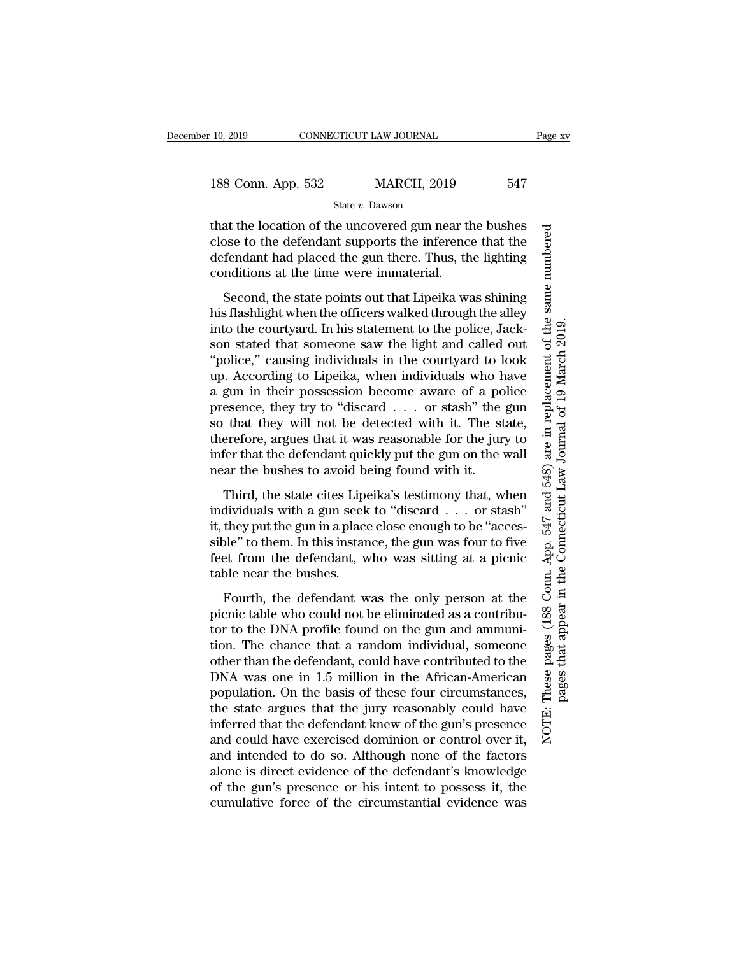| 188 Conn. App. 532 | <b>MARCH, 2019</b> | 547 |
|--------------------|--------------------|-----|
|                    |                    |     |

that the location of the uncovered gun near the bushes close to the defendant supports the inference that the defendant had placed the gun there. Thus, the lighting conditions at the time were immaterial.

Second, the state points out that Lipeika was shining his flashlight when the officers walked through the alley into the courtyard. In his statement to the police, Jackson stated that someone saw the light and called out ''police,'' causing individuals in the courtyard to look up. According to Lipeika, when individuals who have a gun in their possession become aware of a police presence, they try to ''discard . . . or stash'' the gun so that they will not be detected with it. The state, therefore, argues that it was reasonable for the jury to infer that the defendant quickly put the gun on the wall near the bushes to avoid being found with it.

Third, the state cites Lipeika's testimony that, when individuals with a gun seek to ''discard . . . or stash'' it, they put the gun in a place close enough to be ''accessible'' to them. In this instance, the gun was four to five feet from the defendant, who was sitting at a picnic table near the bushes.

Fourth, the defendant was the only person at the picnic table who could not be eliminated as a contributor to the DNA profile found on the gun and ammunition. The chance that a random individual, someone other than the defendant, could have contributed to the DNA was one in 1.5 million in the African-American population. On the basis of these four circumstances, the state argues that the jury reasonably could have inferred that the defendant knew of the gun's presence and could have exercised dominion or control over it, and intended to do so. Although none of the factors alone is direct evidence of the defendant's knowledge of the gun's presence or his intent to possess it, the cumulative force of the circumstantial evidence was These pages (188 Conn. App. 547 and 548) are in replacement of the same numbered NOTE: These pages (188 Conn. App. 547 and 548) are in replacement of the same numbered pages that appear in the Connecticut Law Journal of 19 March 2019. pages that appear in the Connecticut Law Journal of 19 March 2019.NOTE: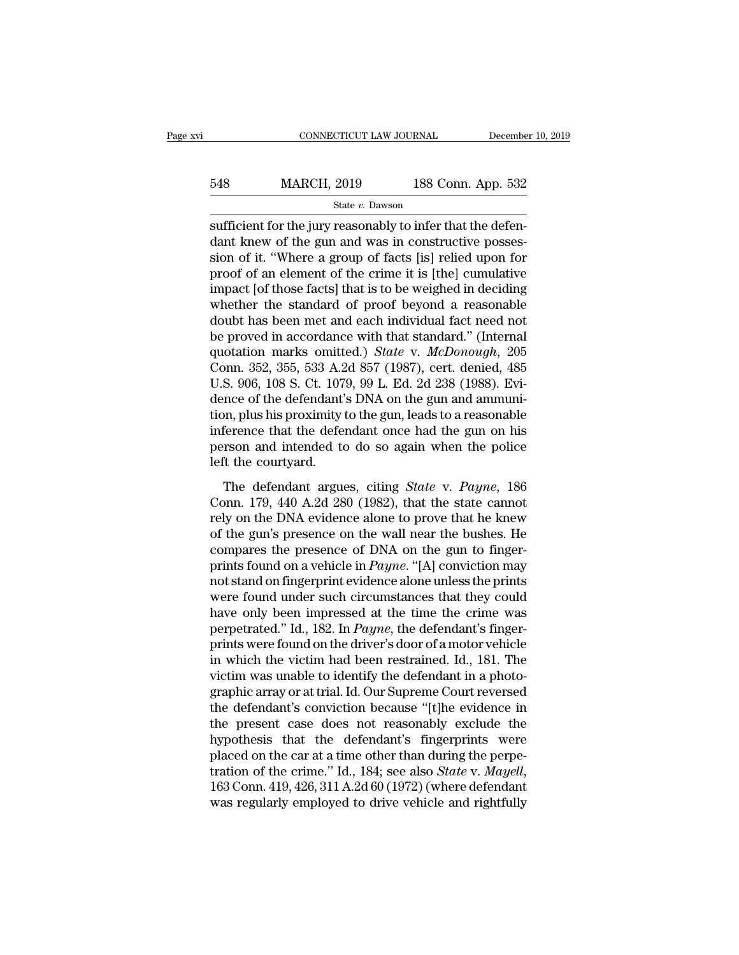| <b>MARCH, 2019</b><br>548 |  |                    | 188 Conn. App. 532 |
|---------------------------|--|--------------------|--------------------|
|                           |  | State $v$ . Dawson |                    |

sufficient for the jury reasonably to infer that the defendant knew of the gun and was in constructive possession of it. ''Where a group of facts [is] relied upon for proof of an element of the crime it is [the] cumulative impact [of those facts] that is to be weighed in deciding whether the standard of proof beyond a reasonable doubt has been met and each individual fact need not be proved in accordance with that standard.'' (Internal quotation marks omitted.) *State* v. *McDonough*, 205 Conn. 352, 355, 533 A.2d 857 (1987), cert. denied, 485 U.S. 906, 108 S. Ct. 1079, 99 L. Ed. 2d 238 (1988). Evidence of the defendant's DNA on the gun and ammunition, plus his proximity to the gun, leads to a reasonable inference that the defendant once had the gun on his person and intended to do so again when the police left the courtyard.

The defendant argues, citing *State* v. *Payne*, 186 Conn. 179, 440 A.2d 280 (1982), that the state cannot rely on the DNA evidence alone to prove that he knew of the gun's presence on the wall near the bushes. He compares the presence of DNA on the gun to fingerprints found on a vehicle in *Payne*. ''[A] conviction may not stand on fingerprint evidence alone unless the prints were found under such circumstances that they could have only been impressed at the time the crime was perpetrated.'' Id., 182. In *Payne*, the defendant's fingerprints were found on the driver's door of a motor vehicle in which the victim had been restrained. Id., 181. The victim was unable to identify the defendant in a photographic array or at trial. Id. Our Supreme Court reversed the defendant's conviction because ''[t]he evidence in the present case does not reasonably exclude the hypothesis that the defendant's fingerprints were placed on the car at a time other than during the perpetration of the crime.'' Id., 184; see also *State* v. *Mayell*, 163 Conn. 419, 426, 311 A.2d 60 (1972) (where defendant was regularly employed to drive vehicle and rightfully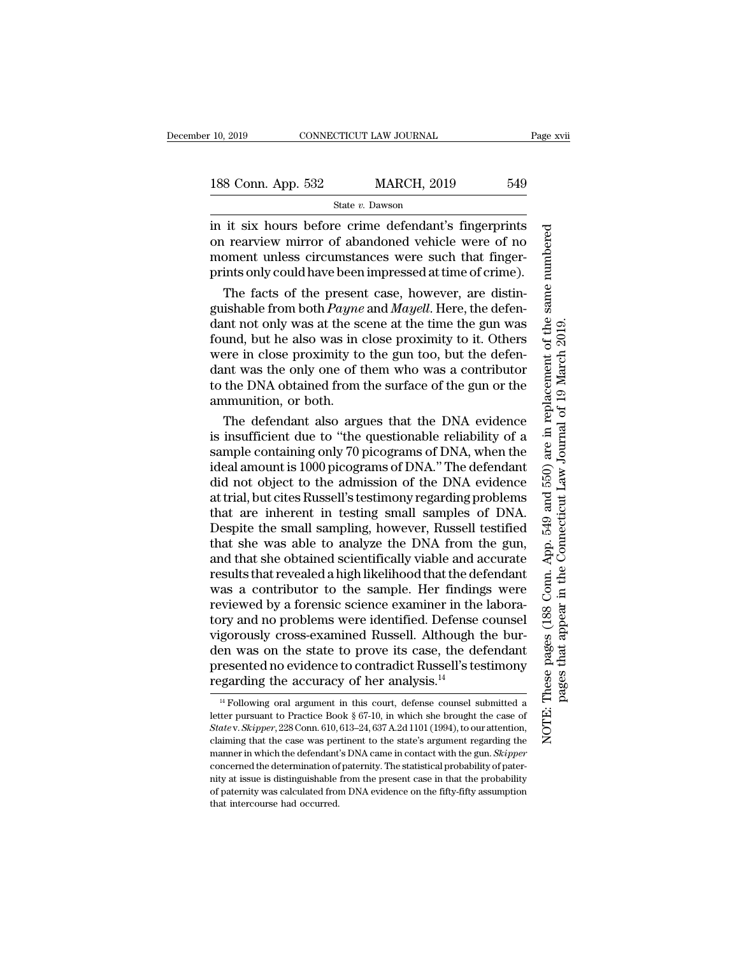### State *v.* Dawson

in it six hours before crime defendant's fingerprints on rearview mirror of abandoned vehicle were of no moment unless circumstances were such that fingerprints only could have been impressed at time of crime).

The facts of the present case, however, are distinguishable from both *Payne* and *Mayell*. Here, the defendant not only was at the scene at the time the gun was found, but he also was in close proximity to it. Others were in close proximity to the gun too, but the defendant was the only one of them who was a contributor to the DNA obtained from the surface of the gun or the ammunition, or both.

The defendant also argues that the DNA evidence is insufficient due to ''the questionable reliability of a sample containing only 70 picograms of DNA, when the ideal amount is 1000 picograms of DNA.'' The defendant did not object to the admission of the DNA evidence at trial, but cites Russell's testimony regarding problems that are inherent in testing small samples of DNA. Despite the small sampling, however, Russell testified that she was able to analyze the DNA from the gun, and that she obtained scientifically viable and accurate results that revealed a high likelihood that the defendant was a contributor to the sample. Her findings were reviewed by a forensic science examiner in the laboratory and no problems were identified. Defense counsel vigorously cross-examined Russell. Although the burden was on the state to prove its case, the defendant presented no evidence to contradict Russell's testimony regarding the accuracy of her analysis.14

These pages (188 Conn. App. 549 and 550) are in replacement of the same numbered NOTE: These pages (188 Conn. App. 549 and 550) are in replacement of the same numbered pages that appear in the Connecticut Law Journal of 19 March 2019. pages that appear in the Connecticut Law Journal of 19 March 2019.NOTE:

<sup>&</sup>lt;sup>14</sup> Following oral argument in this court, defense counsel submitted a letter pursuant to Practice Book § 67-10, in which she brought the case of *State* v. *Skipper*, 228 Conn. 610, 613–24, 637 A.2d 1101 (1994), to our attention, claiming that the case was pertinent to the state's argument regarding the manner in which the defendant's DNA came in contact with the gun. *Skipper* concerned the determination of paternity. The statistical probability of paternity at issue is distinguishable from the present case in that the probability of paternity was calculated from DNA evidence on the fifty-fifty assumption that intercourse had occurred.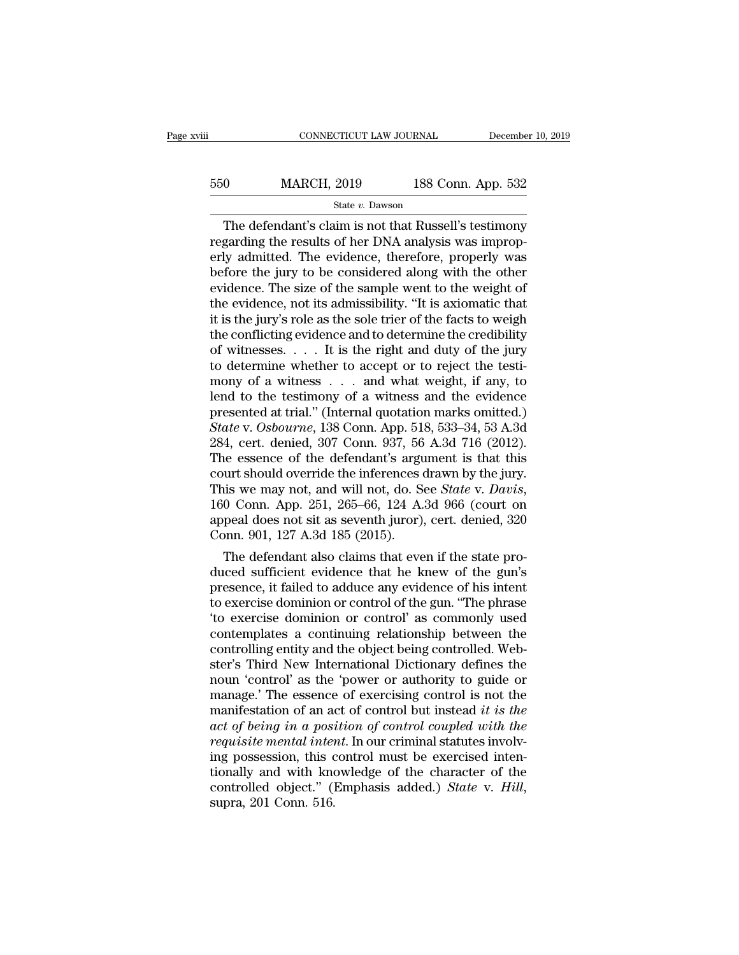## 550 MARCH, 2019 188 Conn. App. 532 State *v.* Dawson

The defendant's claim is not that Russell's testimony regarding the results of her DNA analysis was improperly admitted. The evidence, therefore, properly was before the jury to be considered along with the other evidence. The size of the sample went to the weight of the evidence, not its admissibility. ''It is axiomatic that it is the jury's role as the sole trier of the facts to weigh the conflicting evidence and to determine the credibility of witnesses. . . . It is the right and duty of the jury to determine whether to accept or to reject the testimony of a witness . . . and what weight, if any, to lend to the testimony of a witness and the evidence presented at trial.'' (Internal quotation marks omitted.) *State* v. *Osbourne*, 138 Conn. App. 518, 533–34, 53 A.3d 284, cert. denied, 307 Conn. 937, 56 A.3d 716 (2012). The essence of the defendant's argument is that this court should override the inferences drawn by the jury. This we may not, and will not, do. See *State* v. *Davis*, 160 Conn. App. 251, 265–66, 124 A.3d 966 (court on appeal does not sit as seventh juror), cert. denied, 320 Conn. 901, 127 A.3d 185 (2015).

The defendant also claims that even if the state produced sufficient evidence that he knew of the gun's presence, it failed to adduce any evidence of his intent to exercise dominion or control of the gun. ''The phrase 'to exercise dominion or control' as commonly used contemplates a continuing relationship between the controlling entity and the object being controlled. Webster's Third New International Dictionary defines the noun 'control' as the 'power or authority to guide or manage.' The essence of exercising control is not the manifestation of an act of control but instead *it is the act of being in a position of control coupled with the requisite mental intent*. In our criminal statutes involving possession, this control must be exercised intentionally and with knowledge of the character of the controlled object.'' (Emphasis added.) *State* v. *Hill*, supra, 201 Conn. 516.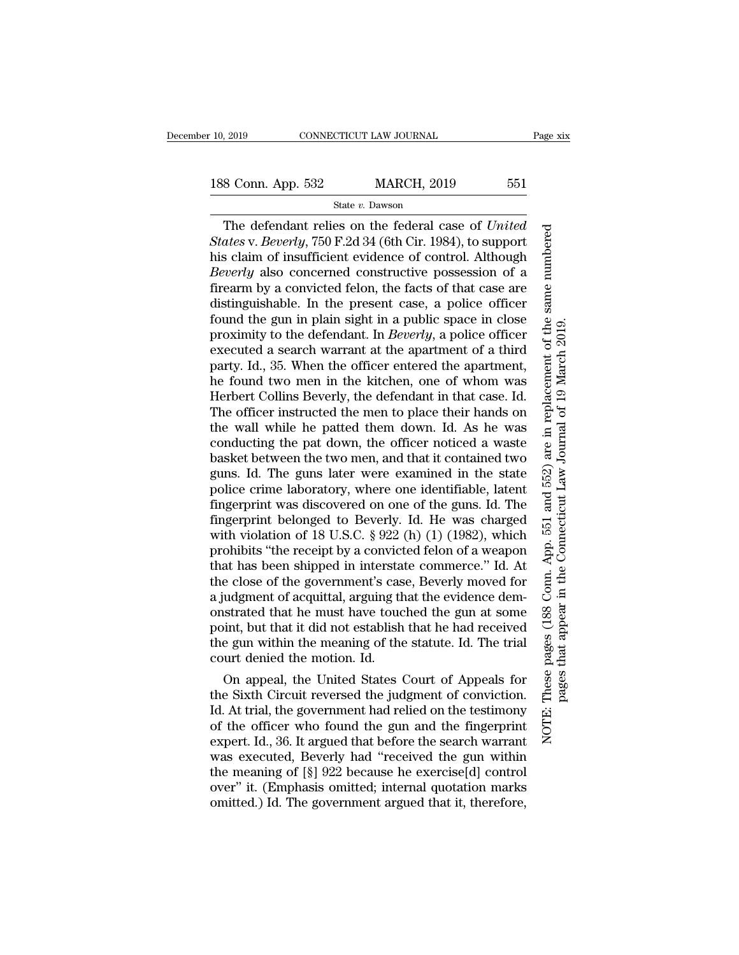The defendant relies on the federal case of *United States* v. *Beverly*, 750 F.2d 34 (6th Cir. 1984), to support his claim of insufficient evidence of control. Although *Beverly* also concerned constructive possession of a firearm by a convicted felon, the facts of that case are distinguishable. In the present case, a police officer found the gun in plain sight in a public space in close proximity to the defendant. In *Beverly*, a police officer executed a search warrant at the apartment of a third party. Id., 35. When the officer entered the apartment, he found two men in the kitchen, one of whom was Herbert Collins Beverly, the defendant in that case. Id. The officer instructed the men to place their hands on the wall while he patted them down. Id. As he was conducting the pat down, the officer noticed a waste basket between the two men, and that it contained two guns. Id. The guns later were examined in the state police crime laboratory, where one identifiable, latent fingerprint was discovered on one of the guns. Id. The fingerprint belonged to Beverly. Id. He was charged with violation of 18 U.S.C. § 922 (h) (1) (1982), which prohibits ''the receipt by a convicted felon of a weapon that has been shipped in interstate commerce.'' Id. At the close of the government's case, Beverly moved for a judgment of acquittal, arguing that the evidence demonstrated that he must have touched the gun at some point, but that it did not establish that he had received the gun within the meaning of the statute. Id. The trial court denied the motion. Id.

On appeal, the United States Court of Appeals for the Sixth Circuit reversed the judgment of conviction. Id. At trial, the government had relied on the testimony of the officer who found the gun and the fingerprint expert. Id., 36. It argued that before the search warrant was executed, Beverly had ''received the gun within the meaning of [§] 922 because he exercise[d] control over'' it. (Emphasis omitted; internal quotation marks omitted.) Id. The government argued that it, therefore,

NOTE: These pages (188 Conn. App. 551 and 552) are in replacement of the same numbered

NOTE:

These pages (188 Conn. App. 551 and 552) are in replacement of the same numbered

pages that appear in the Connecticut Law Journal of 19 March 2019.

pages that appear in the Connecticut Law Journal of 19 March 2019.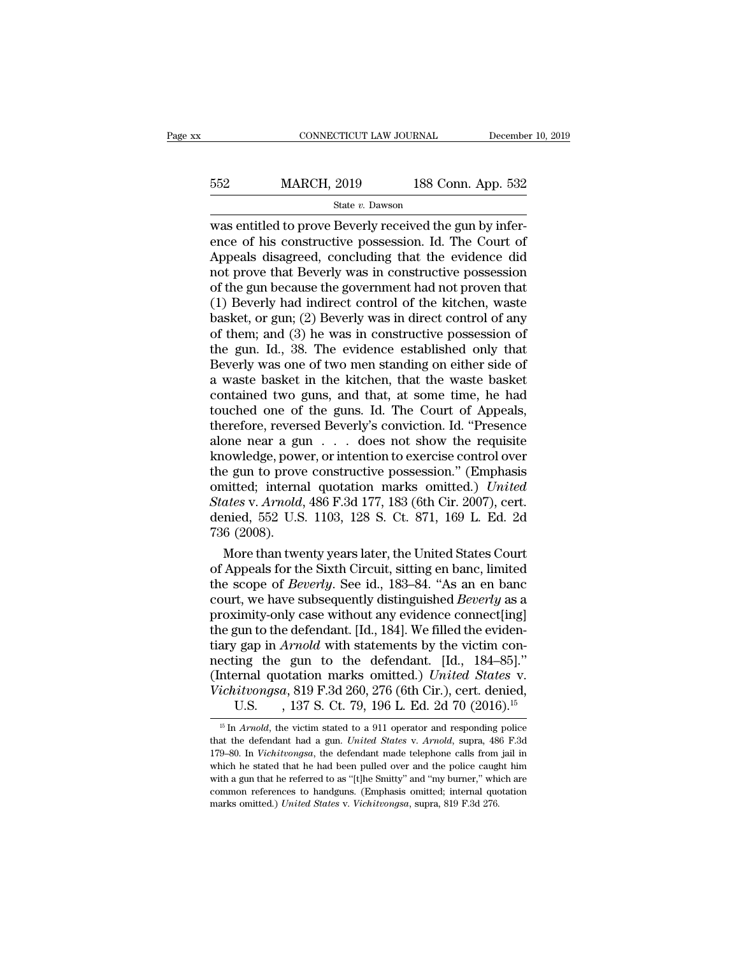| <b>MARCH, 2019</b><br>552 |                 | 188 Conn. App. 532 |  |
|---------------------------|-----------------|--------------------|--|
|                           | State v. Dawson |                    |  |

was entitled to prove Beverly received the gun by inference of his constructive possession. Id. The Court of Appeals disagreed, concluding that the evidence did not prove that Beverly was in constructive possession of the gun because the government had not proven that (1) Beverly had indirect control of the kitchen, waste basket, or gun; (2) Beverly was in direct control of any of them; and (3) he was in constructive possession of the gun. Id., 38. The evidence established only that Beverly was one of two men standing on either side of a waste basket in the kitchen, that the waste basket contained two guns, and that, at some time, he had touched one of the guns. Id. The Court of Appeals, therefore, reversed Beverly's conviction. Id. ''Presence alone near a gun . . . does not show the requisite knowledge, power, or intention to exercise control over the gun to prove constructive possession.'' (Emphasis omitted; internal quotation marks omitted.) *United States* v. *Arnold*, 486 F.3d 177, 183 (6th Cir. 2007), cert. denied, 552 U.S. 1103, 128 S. Ct. 871, 169 L. Ed. 2d 736 (2008).

More than twenty years later, the United States Court of Appeals for the Sixth Circuit, sitting en banc, limited the scope of *Beverly*. See id., 183–84. ''As an en banc court, we have subsequently distinguished *Beverly* as a proximity-only case without any evidence connect[ing] the gun to the defendant. [Id., 184]. We filled the evidentiary gap in *Arnold* with statements by the victim connecting the gun to the defendant. [Id., 184–85].'' (Internal quotation marks omitted.) *United States* v. *Vichitvongsa*, 819 F.3d 260, 276 (6th Cir.), cert. denied, U.S. , 137 S. Ct. 79, 196 L. Ed. 2d 70 (2016).<sup>15</sup>

<sup>&</sup>lt;sup>15</sup> In *Arnold*, the victim stated to a 911 operator and responding police that the defendant had a gun. *United States* v. *Arnold*, supra, 486 F.3d 179–80. In *Vichitvongsa*, the defendant made telephone calls from jail in which he stated that he had been pulled over and the police caught him with a gun that he referred to as "[t]he Smitty" and "my burner," which are common references to handguns. (Emphasis omitted; internal quotation marks omitted.) *United States* v. *Vichitvongsa*, supra, 819 F.3d 276.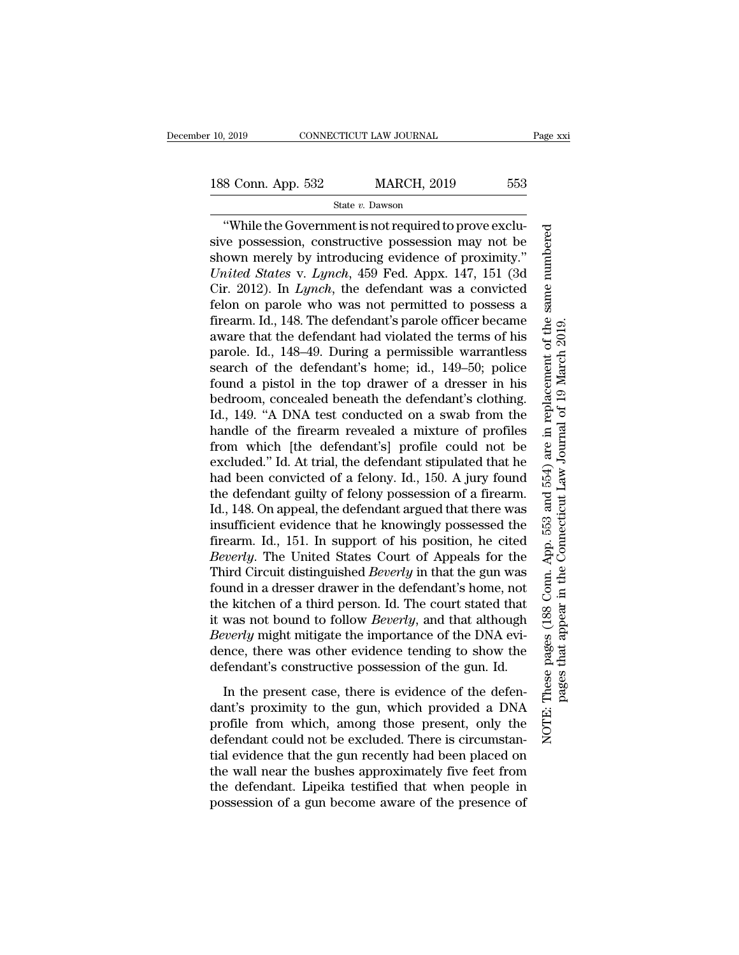''While the Government is not required to prove exclusive possession, constructive possession may not be shown merely by introducing evidence of proximity.'' *United States* v. *Lynch*, 459 Fed. Appx. 147, 151 (3d Cir. 2012). In *Lynch*, the defendant was a convicted felon on parole who was not permitted to possess a firearm. Id., 148. The defendant's parole officer became aware that the defendant had violated the terms of his parole. Id., 148–49. During a permissible warrantless search of the defendant's home; id., 149–50; police found a pistol in the top drawer of a dresser in his bedroom, concealed beneath the defendant's clothing. Id., 149. ''A DNA test conducted on a swab from the handle of the firearm revealed a mixture of profiles from which [the defendant's] profile could not be excluded.'' Id. At trial, the defendant stipulated that he had been convicted of a felony. Id., 150. A jury found the defendant guilty of felony possession of a firearm. Id., 148. On appeal, the defendant argued that there was insufficient evidence that he knowingly possessed the firearm. Id., 151. In support of his position, he cited *Beverly*. The United States Court of Appeals for the Third Circuit distinguished *Beverly* in that the gun was found in a dresser drawer in the defendant's home, not the kitchen of a third person. Id. The court stated that it was not bound to follow *Beverly*, and that although *Beverly* might mitigate the importance of the DNA evidence, there was other evidence tending to show the defendant's constructive possession of the gun. Id.

In the present case, there is evidence of the defendant's proximity to the gun, which provided a DNA profile from which, among those present, only the defendant could not be excluded. There is circumstantial evidence that the gun recently had been placed on the wall near the bushes approximately five feet from the defendant. Lipeika testified that when people in possession of a gun become aware of the presence of NOTE: These pages (188 Conn. App. 553 and 554) are in replacement of the same numbered

NOTE:

These pages (188 Conn. App. 553 and 554) are in replacement of the same numbered

pages that appear in the Connecticut Law Journal of 19 March 2019.

pages that appear in the Connecticut Law Journal of 19 March 2019.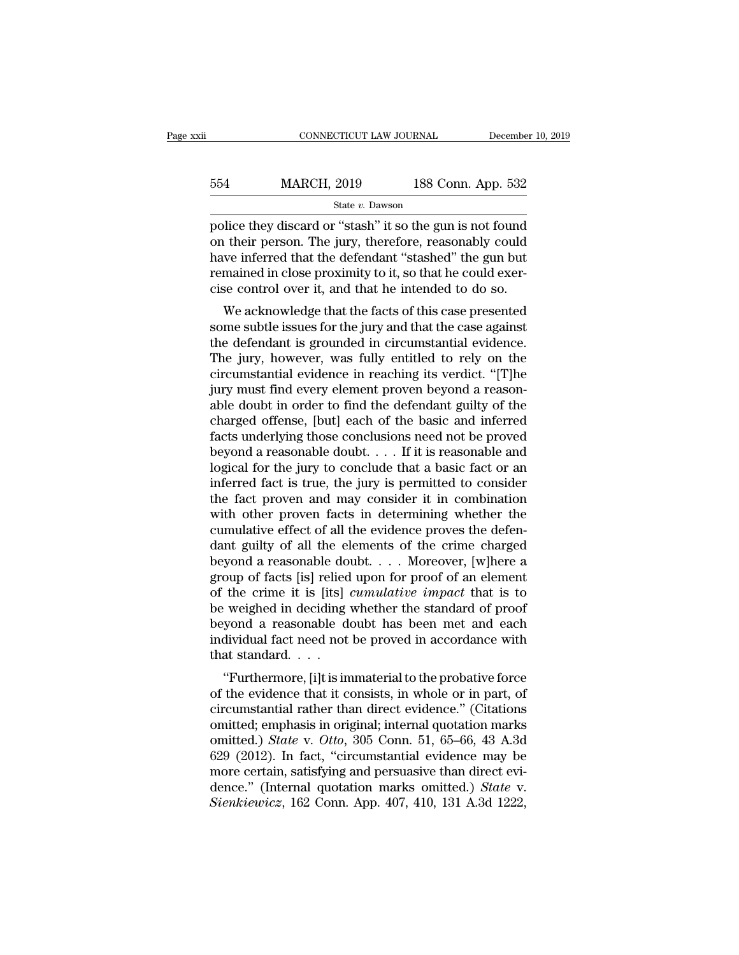| 554 | <b>MARCH, 2019</b> | 188 Conn. App. 532 |  |
|-----|--------------------|--------------------|--|
|     | State $v$ . Dawson |                    |  |

police they discard or ''stash'' it so the gun is not found on their person. The jury, therefore, reasonably could have inferred that the defendant ''stashed'' the gun but remained in close proximity to it, so that he could exercise control over it, and that he intended to do so.

We acknowledge that the facts of this case presented some subtle issues for the jury and that the case against the defendant is grounded in circumstantial evidence. The jury, however, was fully entitled to rely on the circumstantial evidence in reaching its verdict. ''[T]he jury must find every element proven beyond a reasonable doubt in order to find the defendant guilty of the charged offense, [but] each of the basic and inferred facts underlying those conclusions need not be proved beyond a reasonable doubt. . . . If it is reasonable and logical for the jury to conclude that a basic fact or an inferred fact is true, the jury is permitted to consider the fact proven and may consider it in combination with other proven facts in determining whether the cumulative effect of all the evidence proves the defendant guilty of all the elements of the crime charged beyond a reasonable doubt. . . . Moreover, [w]here a group of facts [is] relied upon for proof of an element of the crime it is [its] *cumulative impact* that is to be weighed in deciding whether the standard of proof beyond a reasonable doubt has been met and each individual fact need not be proved in accordance with that standard....

''Furthermore, [i]t is immaterial to the probative force of the evidence that it consists, in whole or in part, of circumstantial rather than direct evidence.'' (Citations omitted; emphasis in original; internal quotation marks omitted.) *State* v. *Otto*, 305 Conn. 51, 65–66, 43 A.3d 629 (2012). In fact, ''circumstantial evidence may be more certain, satisfying and persuasive than direct evidence.'' (Internal quotation marks omitted.) *State* v. *Sienkiewicz*, 162 Conn. App. 407, 410, 131 A.3d 1222,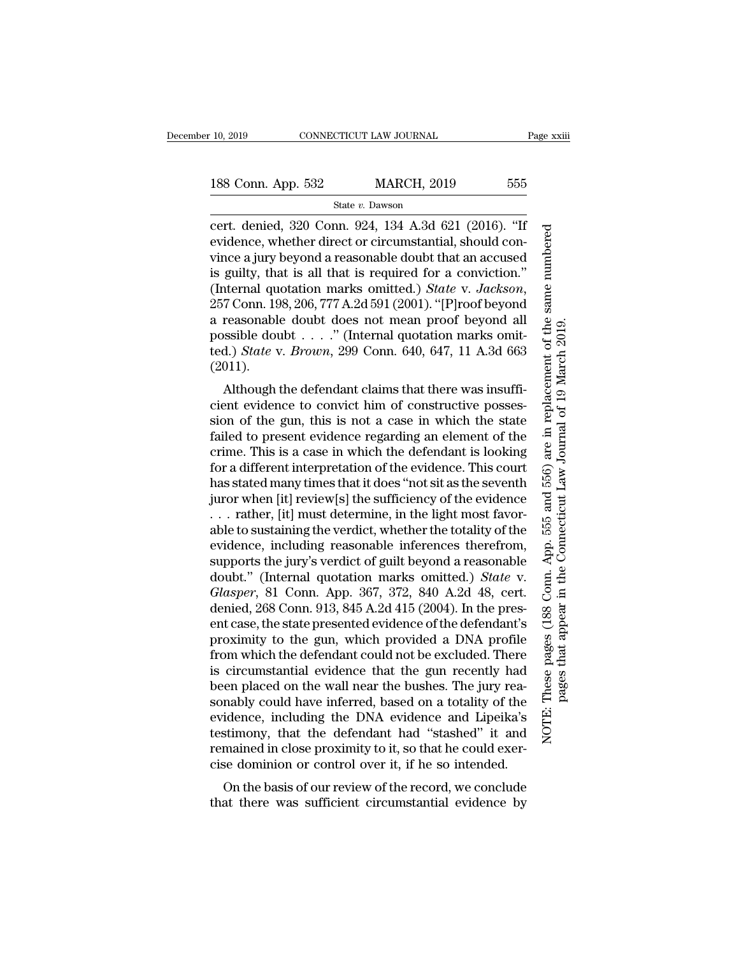# State *v.* Dawson

cert. denied, 320 Conn. 924, 134 A.3d 621 (2016). ''If evidence, whether direct or circumstantial, should convince a jury beyond a reasonable doubt that an accused is guilty, that is all that is required for a conviction.'' (Internal quotation marks omitted.) *State* v. *Jackson*, 257 Conn. 198, 206, 777 A.2d 591 (2001). ''[P]roof beyond a reasonable doubt does not mean proof beyond all possible doubt . . . .'' (Internal quotation marks omitted.) *State* v. *Brown*, 299 Conn. 640, 647, 11 A.3d 663 (2011).

Although the defendant claims that there was insufficient evidence to convict him of constructive possession of the gun, this is not a case in which the state failed to present evidence regarding an element of the crime. This is a case in which the defendant is looking for a different interpretation of the evidence. This court has stated many times that it does ''not sit as the seventh juror when [it] review[s] the sufficiency of the evidence . . . rather, [it] must determine, in the light most favorable to sustaining the verdict, whether the totality of the evidence, including reasonable inferences therefrom, supports the jury's verdict of guilt beyond a reasonable doubt.'' (Internal quotation marks omitted.) *State* v. *Glasper*, 81 Conn. App. 367, 372, 840 A.2d 48, cert. denied, 268 Conn. 913, 845 A.2d 415 (2004). In the present case, the state presented evidence of the defendant's proximity to the gun, which provided a DNA profile from which the defendant could not be excluded. There is circumstantial evidence that the gun recently had been placed on the wall near the bushes. The jury reasonably could have inferred, based on a totality of the evidence, including the DNA evidence and Lipeika's testimony, that the defendant had ''stashed'' it and remained in close proximity to it, so that he could exercise dominion or control over it, if he so intended.

On the basis of our review of the record, we conclude that there was sufficient circumstantial evidence by These pages (188 Conn. App. 555 and 556) are in replacement of the same numbered NOTE: These pages (188 Conn. App. 555 and 556) are in replacement of the same numbered pages that appear in the Connecticut Law Journal of 19 March 2019. pages that appear in the Connecticut Law Journal of 19 March 2019.NOTE: